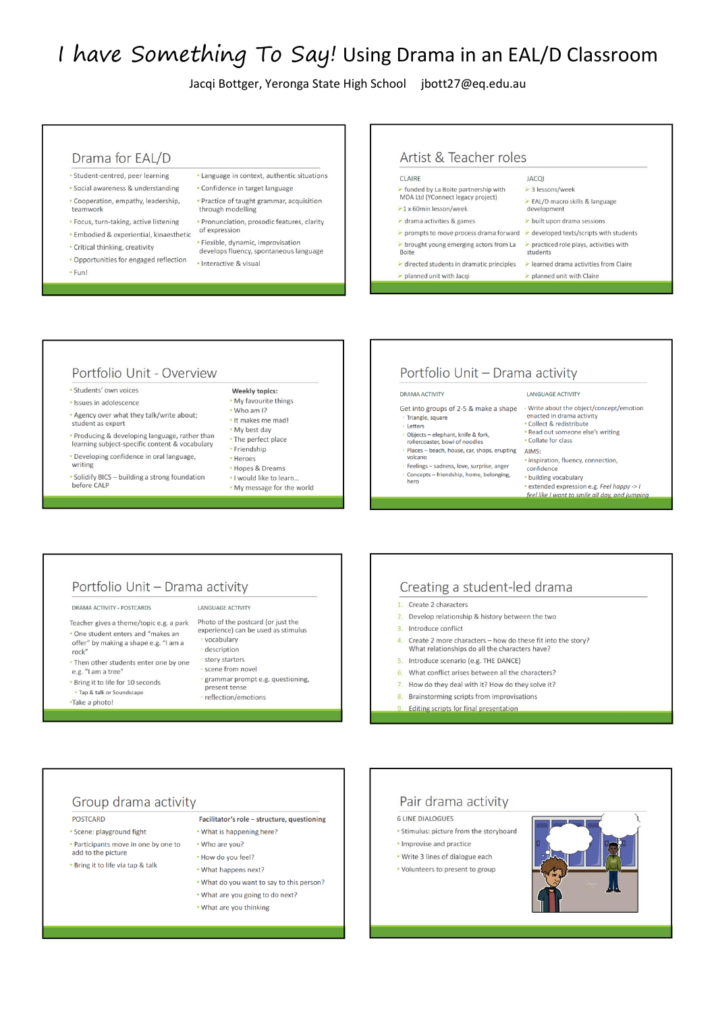# I have Something To Say! Using Drama in an EAL/D Classroom

Jacqi Bottger, Yeronga State High School jbott27@eq.edu.au

#### Drama for EAL/D

- · Student-centred, peer learning · Social awareness & understanding
- · Cooperation, empathy, leadership, teamwork
- · Focus, turn-taking, active listening
- · Embodied & experiential, kinaesthetic
- · Critical thinking, creativity
- Opportunities for engaged reflection
- · Fun!
- · Language in context, authentic situations • Confidence in target language
	- · Practice of taught grammar, acquisition through modelling
	- · Pronunciation, prosodic features, clarity of expression
	- · Flexible, dynamic, improvisation
	- develops fluency, spontaneous language

· Interactive & visual

## Artist & Teacher roles

#### **CLAIRE**

planned unit with Jacqi

- unded by La Boite partnership with MDA Ltd (YConnect legacy project)  $-1 \times 60$ min lesson/week
- $\triangleright$  drama activities & games
- prompts to move process drama forward > developed texts/scripts with students
- > brought young emerging actors from La > practiced role plays, activities with Boite
- directed students in dramatic principles and learned drama activities from Claire

EAL/D macro skills & language

 $\ge$  built upon drama sessions

planned unit with Claire

**JACOI** 

students

> 3 lessons/week

#### Portfolio Unit - Overview

· Students' own voices

- · Issues in adolescence
- \* Agency over what they talk/write about; student as expert
- Producing & developing language, rather than learning subject-specific content & vocabulary
- Developing confidence in oral language, writing
- Solidify BICS building a strong foundation before CALF

#### Weekly topics: . My favourite things

- . Who am I?
- . It makes me mad!
- . My best day
- The perfect place
- Friendship · Heroes
- Hopes & Dreams
- . I would like to learn..
- . My message for the world

## Portfolio Unit - Drama activity

#### **DRAMA ACTIVITY**

- Get into groups of 2-5 & make a shape Triangle, square
- Letters
- Objects elephant, knife & fork,<br>rollercoaster, bowl of noodles Places - beach, house, car, shops, erupting
- volcano Feelings - sadness, love, surprise, anger
- Concepts friendship, home, belonging,
- confidence • building vocabulary

**LANGUAGE ACTIVITY** 

enacted in drama activity

· Collect & redistribute

. Collate for class

AIMS:

· extended expression e.g. Feel happy -> I feel like I want to sn

· Write about the object/concept/emotion

Read out someone else's writing

· inspiration, fluency, connection.

#### Portfolio Unit - Drama activity

DRAMA ACTIVITY - POSTCARDS

- Teacher gives a theme/topic e.g. a park . One student enters and "makes an offer" by making a shape e.g. "I am a  $rock''$
- . Then other students enter one by one e.g. "I am a tree"
- . Bring it to life for 10 seconds • Tap & talk or Soundscape
- •Take a photo!

#### LANGUAGE ACTIVITY

Photo of the postcard (or just the experience) can be used as stimulus vocabulary description story starters scene from novel grammar prompt e.g. questioning, present tense reflection/emotions

#### Creating a student-led drama

#### 1. Create 2 characters

- 2. Develop relationship & history between the two
- 3. Introduce conflict
- Create 2 more characters how do these fit into the story? What relationships do all the characters have?
- Introduce scenario (e.g. THE DANCE)
- 6. What conflict arises between all the characters?
- 7. How do they deal with it? How do they solve it?
- 8. Brainstorming scripts from improvisations
- **Editing scripts for final presentation**

## Group drama activity

- **POSTCARD**
- · Scene: playground fight
- Participants move in one by one to add to the picture
- . Bring it to life via tap & talk
- . What is happening here? • Who are you?
- . How do you feel? . What happens next?
- . What do you want to say to this person?
- What are you going to do next?

Facilitator's role - structure, questioning

• What are you thinking

## Pair drama activity

- **6 LINE DIALOGUES**
- . Stimulus: picture from the storyboard
- · Improvise and practice
- . Write 3 lines of dialogue each
- Volunteers to present to group